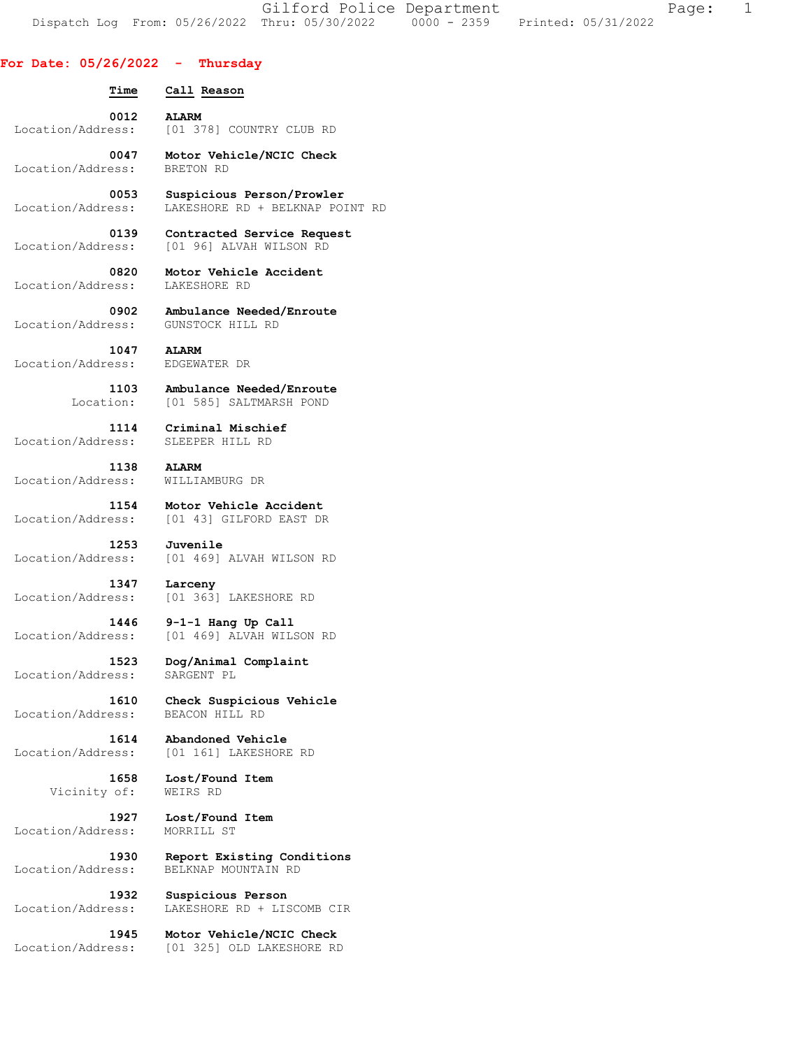Gilford Police Department Fage: 1 Dispatch Log From: 05/26/2022 Thru: 05/30/2022 0000 - 2359 Printed: 05/31/2022

## **For Date: 05/26/2022 - Thursday**

 **Time Call Reason 0012 ALARM**  Location/Address: [01 378] COUNTRY CLUB RD  **0047 Motor Vehicle/NCIC Check**  Location/Address: BRETON RD  **0053 Suspicious Person/Prowler**  Location/Address: LAKESHORE RD + BELKNAP POINT RD  **0139 Contracted Service Request**  Location/Address: [01 96] ALVAH WILSON RD  **0820 Motor Vehicle Accident**  Location/Address:  **0902 Ambulance Needed/Enroute**  Location/Address: GUNSTOCK HILL RD  **1047 ALARM**  Location/Address:  **1103 Ambulance Needed/Enroute**  Location: [01 585] SALTMARSH POND  **1114 Criminal Mischief**  Location/Address: SLEEPER HILL RD  **1138 ALARM**  Location/Address: WILLIAMBURG DR  **1154 Motor Vehicle Accident**  Location/Address: [01 43] GILFORD EAST DR  **1253 Juvenile**  Location/Address: [01 469] ALVAH WILSON RD  **1347 Larceny**  Location/Address: [01 363] LAKESHORE RD  **1446 9-1-1 Hang Up Call**  Location/Address: [01 469] ALVAH WILSON RD  **1523 Dog/Animal Complaint**  Location/Address: SARGENT PL  **1610 Check Suspicious Vehicle**  Location/Address:  **1614 Abandoned Vehicle**  Location/Address: [01 161] LAKESHORE RD  **1658 Lost/Found Item**  Vicinity of: WEIRS RD  **1927 Lost/Found Item**  Location/Address:  **1930 Report Existing Conditions**  Location/Address: BELKNAP MOUNTAIN RD  **1932 Suspicious Person**  Location/Address: LAKESHORE RD + LISCOMB CIR  **1945 Motor Vehicle/NCIC Check**  Location/Address: [01 325] OLD LAKESHORE RD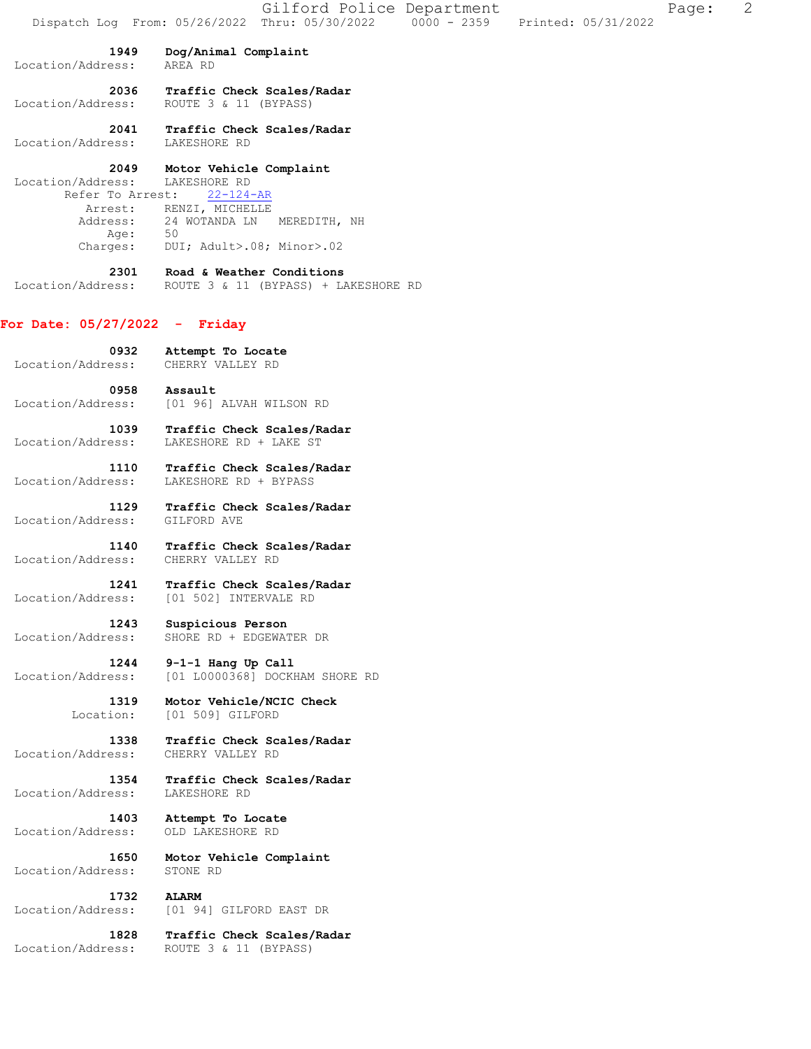|                                               |                                                             | Gilford Police Department                                  |  |                     | Page: | 2 |
|-----------------------------------------------|-------------------------------------------------------------|------------------------------------------------------------|--|---------------------|-------|---|
|                                               |                                                             | Dispatch Log From: 05/26/2022 Thru: 05/30/2022 0000 - 2359 |  | Printed: 05/31/2022 |       |   |
| 1949<br>Location/Address:                     | Dog/Animal Complaint<br>AREA RD                             |                                                            |  |                     |       |   |
| 2036<br>Location/Address:                     | Traffic Check Scales/Radar<br>ROUTE 3 & 11 (BYPASS)         |                                                            |  |                     |       |   |
| 2041<br>Location/Address:                     | Traffic Check Scales/Radar<br>LAKESHORE RD                  |                                                            |  |                     |       |   |
| 2049<br>Location/Address:<br>Refer To Arrest: | Motor Vehicle Complaint<br>LAKESHORE RD<br>$22 - 124 - AR$  |                                                            |  |                     |       |   |
| Address:                                      | Arrest: RENZI, MICHELLE<br>24 WOTANDA LN MEREDITH, NH<br>50 |                                                            |  |                     |       |   |
| Age:<br>Charges:                              | DUI; Adult>.08; Minor>.02                                   |                                                            |  |                     |       |   |
| 2301<br>Location/Address:                     | Road & Weather Conditions                                   | ROUTE 3 & 11 (BYPASS) + LAKESHORE RD                       |  |                     |       |   |
| For Date: 05/27/2022 - Friday                 |                                                             |                                                            |  |                     |       |   |
| 0932<br>Location/Address:                     | Attempt To Locate<br>CHERRY VALLEY RD                       |                                                            |  |                     |       |   |
| 0958<br>Location/Address:                     | Assault<br>[01 96] ALVAH WILSON RD                          |                                                            |  |                     |       |   |
| 1039<br>Location/Address:                     | Traffic Check Scales/Radar<br>LAKESHORE RD + LAKE ST        |                                                            |  |                     |       |   |
| 1110<br>Location/Address:                     | Traffic Check Scales/Radar<br>LAKESHORE RD + BYPASS         |                                                            |  |                     |       |   |
| 1129<br>Location/Address:                     | Traffic Check Scales/Radar<br>GILFORD AVE                   |                                                            |  |                     |       |   |
| 1140<br>Location/Address:                     | Traffic Check Scales/Radar<br>CHERRY VALLEY RD              |                                                            |  |                     |       |   |
| 1241<br>Location/Address:                     | Traffic Check Scales/Radar<br>[01 502] INTERVALE RD         |                                                            |  |                     |       |   |
| 1243<br>Location/Address:                     | Suspicious Person<br>SHORE RD + EDGEWATER DR                |                                                            |  |                     |       |   |
| 1244<br>Location/Address:                     | 9-1-1 Hang Up Call                                          | [01 L0000368] DOCKHAM SHORE RD                             |  |                     |       |   |
| 1319<br>Location:                             | Motor Vehicle/NCIC Check<br>[01 509] GILFORD                |                                                            |  |                     |       |   |
| 1338<br>Location/Address:                     | Traffic Check Scales/Radar<br>CHERRY VALLEY RD              |                                                            |  |                     |       |   |
| 1354<br>Location/Address:                     | Traffic Check Scales/Radar<br>LAKESHORE RD                  |                                                            |  |                     |       |   |
| 1403<br>Location/Address:                     | Attempt To Locate<br>OLD LAKESHORE RD                       |                                                            |  |                     |       |   |
| 1650<br>Location/Address:                     | Motor Vehicle Complaint<br>STONE RD                         |                                                            |  |                     |       |   |
| 1732<br>Location/Address:                     | <b>ALARM</b><br>[01 94] GILFORD EAST DR                     |                                                            |  |                     |       |   |
| 1828<br>Location/Address:                     | Traffic Check Scales/Radar<br>ROUTE 3 & 11 (BYPASS)         |                                                            |  |                     |       |   |
|                                               |                                                             |                                                            |  |                     |       |   |
|                                               |                                                             |                                                            |  |                     |       |   |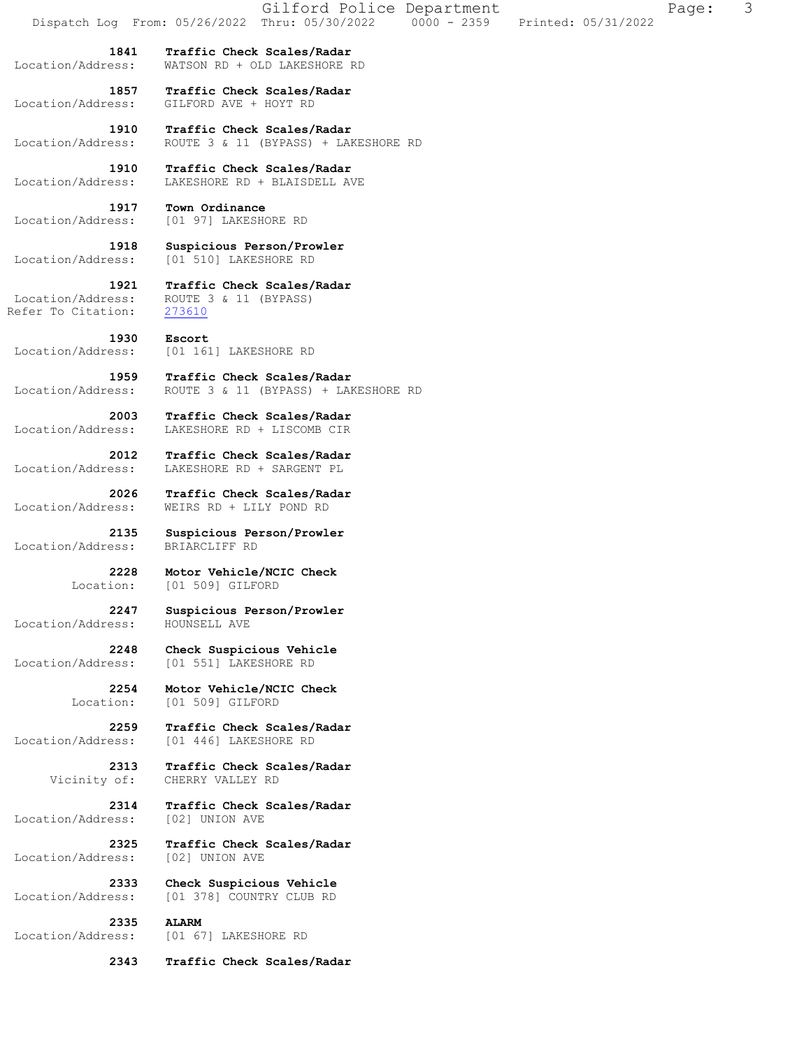| Dispatch Log From: 05/26/2022 Thru: 05/30/2022 0000 - 2359 |                                                                    | Gilford Police Department |  |  | Printed: 05/31/2022 | Page: | 3 |
|------------------------------------------------------------|--------------------------------------------------------------------|---------------------------|--|--|---------------------|-------|---|
| 1841<br>Location/Address:                                  | Traffic Check Scales/Radar<br>WATSON RD + OLD LAKESHORE RD         |                           |  |  |                     |       |   |
| 1857<br>Location/Address:                                  | Traffic Check Scales/Radar<br>GILFORD AVE + HOYT RD                |                           |  |  |                     |       |   |
| 1910<br>Location/Address:                                  | Traffic Check Scales/Radar<br>ROUTE 3 & 11 (BYPASS) + LAKESHORE RD |                           |  |  |                     |       |   |
| 1910<br>Location/Address:                                  | Traffic Check Scales/Radar<br>LAKESHORE RD + BLAISDELL AVE         |                           |  |  |                     |       |   |
| 1917<br>Location/Address:                                  | Town Ordinance<br>[01 97] LAKESHORE RD                             |                           |  |  |                     |       |   |
| 1918<br>Location/Address:                                  | Suspicious Person/Prowler<br>[01 510] LAKESHORE RD                 |                           |  |  |                     |       |   |
| 1921<br>Location/Address:<br>Refer To Citation:            | Traffic Check Scales/Radar<br>ROUTE 3 & 11 (BYPASS)<br>273610      |                           |  |  |                     |       |   |
| 1930<br>Location/Address:                                  | Escort<br>[01 161] LAKESHORE RD                                    |                           |  |  |                     |       |   |
| 1959<br>Location/Address:                                  | Traffic Check Scales/Radar<br>ROUTE 3 & 11 (BYPASS) + LAKESHORE RD |                           |  |  |                     |       |   |
| 2003<br>Location/Address:                                  | Traffic Check Scales/Radar<br>LAKESHORE RD + LISCOMB CIR           |                           |  |  |                     |       |   |
| 2012<br>Location/Address:                                  | Traffic Check Scales/Radar<br>LAKESHORE RD + SARGENT PL            |                           |  |  |                     |       |   |
| 2026<br>Location/Address:                                  | Traffic Check Scales/Radar<br>WEIRS RD + LILY POND RD              |                           |  |  |                     |       |   |
| 2135<br>Location/Address:                                  | Suspicious Person/Prowler<br>BRIARCLIFF RD                         |                           |  |  |                     |       |   |
| 2228<br>Location:                                          | Motor Vehicle/NCIC Check<br>[01 509] GILFORD                       |                           |  |  |                     |       |   |
| 2247<br>Location/Address:                                  | Suspicious Person/Prowler<br>HOUNSELL AVE                          |                           |  |  |                     |       |   |
| 2248<br>Location/Address:                                  | Check Suspicious Vehicle<br>[01 551] LAKESHORE RD                  |                           |  |  |                     |       |   |
| 2254<br>Location:                                          | Motor Vehicle/NCIC Check<br>[01 509] GILFORD                       |                           |  |  |                     |       |   |
| 2259<br>Location/Address:                                  | Traffic Check Scales/Radar<br>[01 446] LAKESHORE RD                |                           |  |  |                     |       |   |
| 2313<br>Vicinity of:                                       | Traffic Check Scales/Radar<br>CHERRY VALLEY RD                     |                           |  |  |                     |       |   |
| 2314<br>Location/Address:                                  | Traffic Check Scales/Radar<br>[02] UNION AVE                       |                           |  |  |                     |       |   |
| 2325<br>Location/Address:                                  | Traffic Check Scales/Radar<br>[02] UNION AVE                       |                           |  |  |                     |       |   |
| 2333<br>Location/Address:                                  | Check Suspicious Vehicle<br>[01 378] COUNTRY CLUB RD               |                           |  |  |                     |       |   |
| 2335<br>Location/Address:                                  | <b>ALARM</b><br>[01 67] LAKESHORE RD                               |                           |  |  |                     |       |   |
| 2343                                                       | Traffic Check Scales/Radar                                         |                           |  |  |                     |       |   |
|                                                            |                                                                    |                           |  |  |                     |       |   |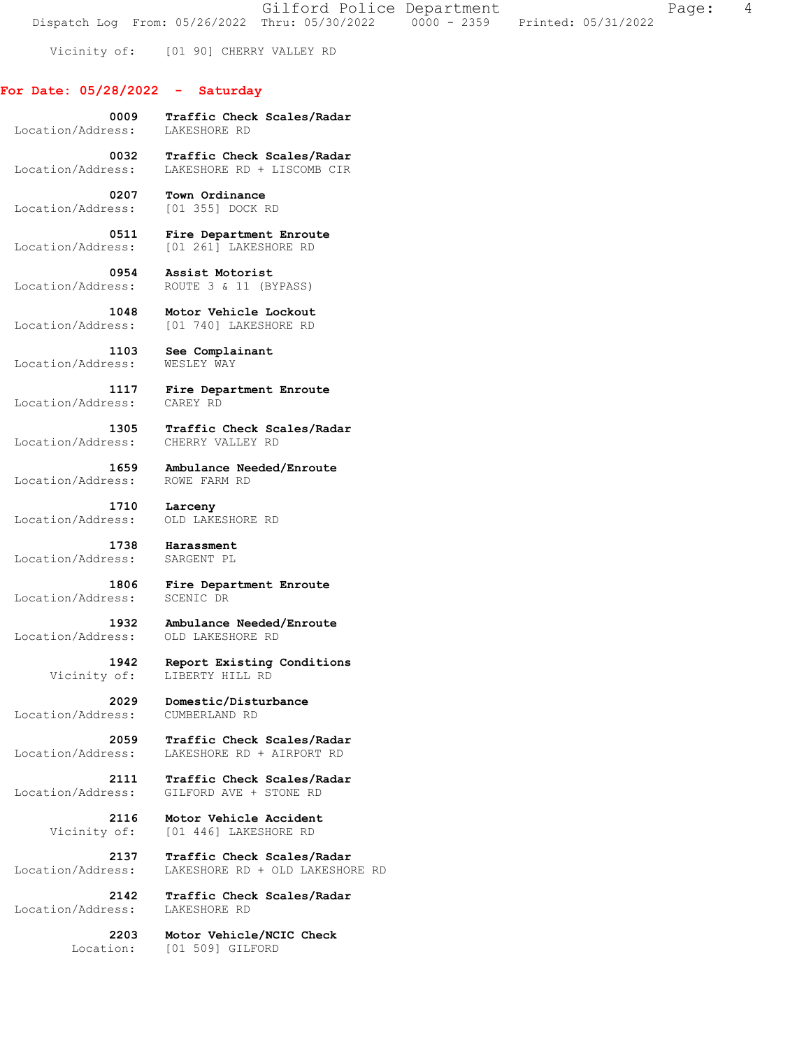Gilford Police Department Fage: 4 Dispatch Log From:  $05/26/2022$  Thru:  $05/30/2022$   $0000 - 2359$  Printed:  $05/31/2022$ 

Vicinity of: [01 90] CHERRY VALLEY RD

## **For Date: 05/28/2022 - Saturday**

| Location/Address: | 0009 Traffic Check Scales/Radar<br>LAKESHORE RD |
|-------------------|-------------------------------------------------|
| 0032              | Traffic Check Scales/Radar                      |
| Location/Address: | LAKESHORE RD + LISCOMB CIR                      |
| 0207              | Town Ordinance                                  |
| Location/Address: | [01 355] DOCK RD                                |
| 0511              | Fire Department Enroute                         |
| Location/Address: | [01 261] LAKESHORE RD                           |
| 0954              | Assist Motorist                                 |
| Location/Address: | ROUTE 3 & 11 (BYPASS)                           |
| 1048              | Motor Vehicle Lockout                           |
| Location/Address: | [01 740] LAKESHORE RD                           |
| 1103              | See Complainant                                 |
| Location/Address: | WESLEY WAY                                      |
| 1117              | Fire Department Enroute                         |
| Location/Address: | CAREY RD                                        |
| 1305              | Traffic Check Scales/Radar                      |
| Location/Address: | CHERRY VALLEY RD                                |
| 1659              | Ambulance Needed/Enroute                        |
| Location/Address: | ROWE FARM RD                                    |
| 1710              | Larceny                                         |
| Location/Address: | OLD LAKESHORE RD                                |
| 1738              | Harassment                                      |
| Location/Address: | SARGENT PL                                      |
| 1806 -            | Fire Department Enroute                         |
| Location/Address: | SCENIC DR                                       |
| 1932 - 1          | Ambulance Needed/Enroute                        |
| Location/Address: | OLD LAKESHORE RD                                |
| 1942              | Report Existing Conditions                      |
| Vicinity of:      | LIBERTY HILL RD                                 |
| 2029              | Domestic/Disturbance                            |
| Location/Address: | CUMBERLAND RD                                   |
| 2059              | Traffic Check Scales/Radar                      |
| Location/Address: | LAKESHORE RD + AIRPORT RD                       |
| 2111              | Traffic Check Scales/Radar                      |
| Location/Address: | GILFORD AVE + STONE RD                          |
| 2116              | Motor Vehicle Accident                          |
| Vicinity of:      | [01 446] LAKESHORE RD                           |
| 2137              | Traffic Check Scales/Radar                      |
| Location/Address: | LAKESHORE RD + OLD LAKESHORE RD                 |
| 2142              | Traffic Check Scales/Radar                      |

 Location/Address: LAKESHORE RD  **2203 Motor Vehicle/NCIC Check** 

Location: [01 509] GILFORD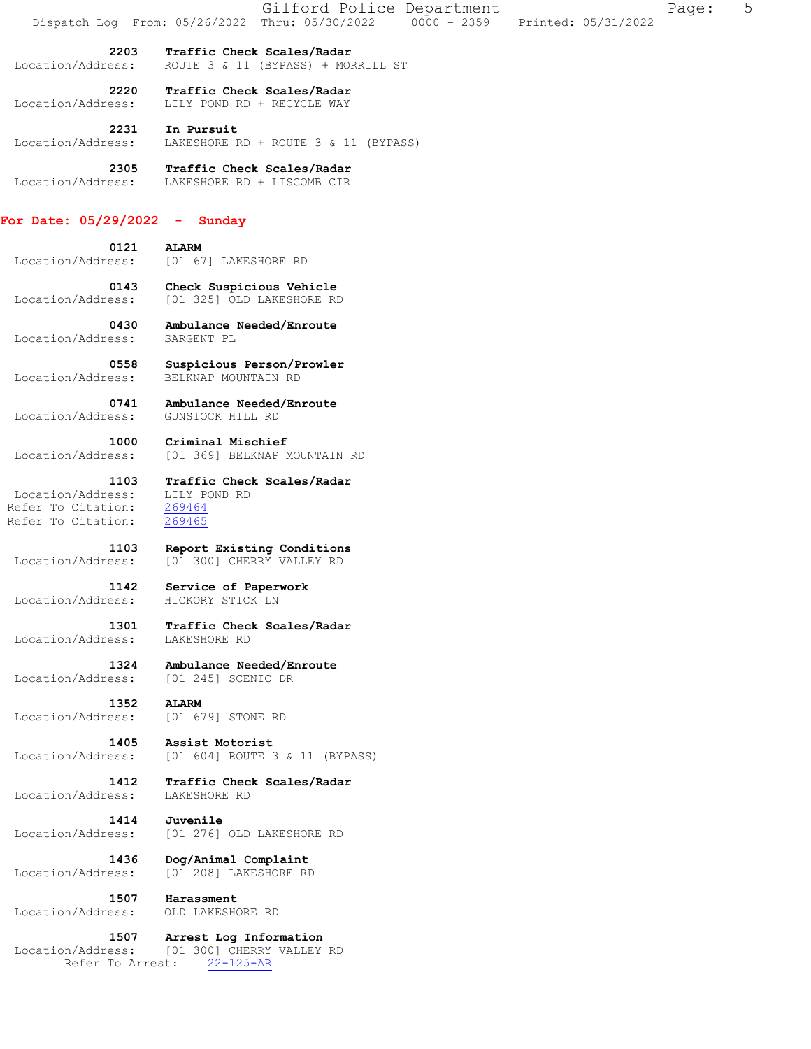|                                 | 5<br>Gilford Police Department<br>Page:<br>Dispatch Log From: 05/26/2022 Thru: 05/30/2022 0000 - 2359<br>Printed: 05/31/2022 |
|---------------------------------|------------------------------------------------------------------------------------------------------------------------------|
| 2203                            | Traffic Check Scales/Radar                                                                                                   |
| Location/Address:               | ROUTE 3 & 11 (BYPASS) + MORRILL ST                                                                                           |
| 2220                            | Traffic Check Scales/Radar                                                                                                   |
| Location/Address:               | LILY POND RD + RECYCLE WAY                                                                                                   |
| 2231                            | In Pursuit                                                                                                                   |
| Location/Address:               | LAKESHORE RD + ROUTE 3 & 11 (BYPASS)                                                                                         |
| 2305                            | Traffic Check Scales/Radar                                                                                                   |
| Location/Address:               | LAKESHORE RD + LISCOMB CIR                                                                                                   |
| For Date: $05/29/2022 -$ Sunday |                                                                                                                              |
| 0121                            | <b>ALARM</b>                                                                                                                 |
| Location/Address:               | [01 67] LAKESHORE RD                                                                                                         |
| 0143                            | Check Suspicious Vehicle                                                                                                     |
| Location/Address:               | [01 325] OLD LAKESHORE RD                                                                                                    |
| 0430                            | Ambulance Needed/Enroute                                                                                                     |
| Location/Address:               | SARGENT PL                                                                                                                   |
| 0558                            | Suspicious Person/Prowler                                                                                                    |
| Location/Address:               | BELKNAP MOUNTAIN RD                                                                                                          |
| 0741                            | Ambulance Needed/Enroute                                                                                                     |
| Location/Address:               | GUNSTOCK HILL RD                                                                                                             |
| 1000                            | Criminal Mischief                                                                                                            |
| Location/Address:               | [01 369] BELKNAP MOUNTAIN RD                                                                                                 |
| 1103                            | Traffic Check Scales/Radar                                                                                                   |
| Location/Address:               | LILY POND RD                                                                                                                 |
| Refer To Citation:              | 269464                                                                                                                       |
| Refer To Citation:              | 269465                                                                                                                       |
| 1103                            | Report Existing Conditions                                                                                                   |
| Location/Address:               | [01 300] CHERRY VALLEY RD                                                                                                    |
| 1142                            | Service of Paperwork                                                                                                         |
| Location/Address:               | HICKORY STICK LN                                                                                                             |
| 1301                            | Traffic Check Scales/Radar                                                                                                   |
| Location/Address:               | LAKESHORE RD                                                                                                                 |
|                                 |                                                                                                                              |
| 1324                            | Ambulance Needed/Enroute                                                                                                     |
| Location/Address:               | [01 245] SCENIC DR                                                                                                           |
| 1352                            | <b>ALARM</b>                                                                                                                 |
| Location/Address:               | [01 679] STONE RD                                                                                                            |
| 1405                            | Assist Motorist                                                                                                              |
| Location/Address:               | [01 604] ROUTE 3 & 11 (BYPASS)                                                                                               |
| 1412                            | Traffic Check Scales/Radar                                                                                                   |
| Location/Address:               | LAKESHORE RD                                                                                                                 |
| 1414                            | Juvenile                                                                                                                     |
| Location/Address:               | [01 276] OLD LAKESHORE RD                                                                                                    |
| 1436                            | Dog/Animal Complaint                                                                                                         |
| Location/Address:               | [01 208] LAKESHORE RD                                                                                                        |
| 1507                            | Harassment                                                                                                                   |
| Location/Address:               | OLD LAKESHORE RD                                                                                                             |
| 1507                            | Arrest Log Information                                                                                                       |
| Location/Address:               | [01 300] CHERRY VALLEY RD                                                                                                    |

Refer To Arrest: 22-125-AR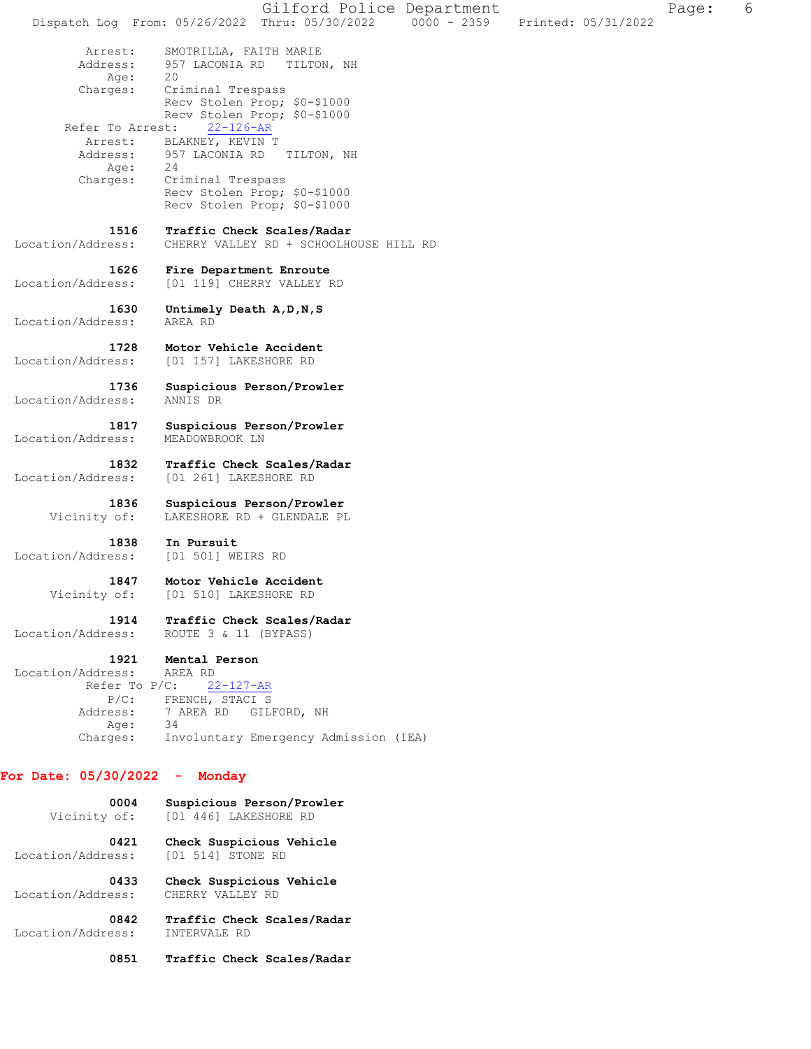Gilford Police Department The Page: 6 Dispatch Log From: 05/26/2022 Thru: 05/30/2022 0000 - 2359 Printed: 05/31/2022 Arrest: SMOTRILLA, FAITH MARIE<br>Address: 957 LACONIA RD TILTO 957 LACONIA RD TILTON, NH Age: 20 Charges: Criminal Trespass Recv Stolen Prop; \$0-\$1000 Recv Stolen Prop; \$0-\$1000 Refer To Arrest: 22-126-AR Arrest: BLAKNEY, KEVIN T<br>Address: 957 LACONIA RD 957 LACONIA RD TILTON, NH Age: 24 Charges: Criminal Trespass Recv Stolen Prop; \$0-\$1000 Recv Stolen Prop; \$0-\$1000  **1516 Traffic Check Scales/Radar**  Location/Address: CHERRY VALLEY RD + SCHOOLHOUSE HILL RD  **1626 Fire Department Enroute**  Location/Address: [01 119] CHERRY VALLEY RD  **1630 Untimely Death A,D,N,S**  Location/Address: AREA RD  **1728 Motor Vehicle Accident**  Location/Address: [01 157] LAKESHORE RD  **1736 Suspicious Person/Prowler**  Location/Address:  **1817 Suspicious Person/Prowler**  Location/Address: MEADOWBROOK LN  **1832 Traffic Check Scales/Radar**  Location/Address: [01 261] LAKESHORE RD  **1836 Suspicious Person/Prowler**  Vicinity of: LAKESHORE RD + GLENDALE PL  **1838 In Pursuit**  Location/Address: [01 501] WEIRS RD  **1847 Motor Vehicle Accident**  Vicinity of: [01 510] LAKESHORE RD  **1914 Traffic Check Scales/Radar**  Location/Address: ROUTE 3 & 11 (BYPASS)  **1921 Mental Person**  Location/Address: AREA RD Refer To P/C: 22-127-AR P/C: FRENCH, STACI S Address: 7 AREA RD GILFORD, NH<br>Age: 34 Age: Charges: Involuntary Emergency Admission (IEA) **For Date: 05/30/2022 - Monday 0004 Suspicious Person/Prowler**  Vicinity of: [01 446] LAKESHORE RD  **0421 Check Suspicious Vehicle**  Location/Address: [01 514] STONE RD  **0433 Check Suspicious Vehicle**  Location/Address:  **0842 Traffic Check Scales/Radar**  Location/Address: INTERVALE RD

 **0851 Traffic Check Scales/Radar**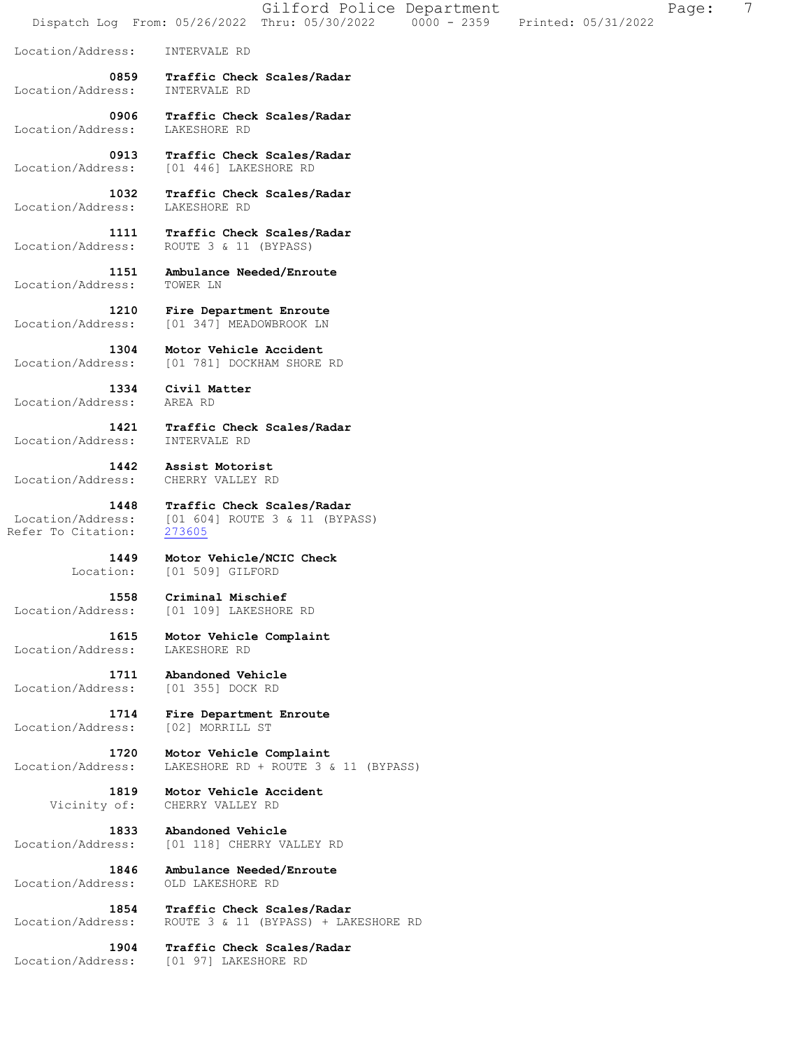Gilford Police Department Fage: 7 Dispatch Log From: 05/26/2022 Thru: 05/30/2022 0000 - 2359 Printed: 05/31/2022 Location/Address: INTERVALE RD  **0859 Traffic Check Scales/Radar**  Location/Address: INTERVALE RD  **0906 Traffic Check Scales/Radar**  Location/Address:  **0913 Traffic Check Scales/Radar**  Location/Address: [01 446] LAKESHORE RD  **1032 Traffic Check Scales/Radar**  Location/Address: LAKESHORE RD  **1111 Traffic Check Scales/Radar**  Location/Address: ROUTE 3 & 11 (BYPASS)  **1151 Ambulance Needed/Enroute**  Location/Address: TOWER LN  **1210 Fire Department Enroute**  Location/Address: [01 347] MEADOWBROOK LN  **1304 Motor Vehicle Accident**  Location/Address: [01 781] DOCKHAM SHORE RD  **1334 Civil Matter**  Location/Address: AREA RD  **1421 Traffic Check Scales/Radar**  Location/Address: INTERVALE RD  **1442 Assist Motorist**  Location/Address: CHERRY VALLEY RD  **1448 Traffic Check Scales/Radar**  Location/Address: [01 604] ROUTE 3 & 11 (BYPASS)<br>Refer To Citation: 273605 Refer To Citation:  **1449 Motor Vehicle/NCIC Check**  Location: [01 509] GILFORD  **1558 Criminal Mischief**  Location/Address: [01 109] LAKESHORE RD  **1615 Motor Vehicle Complaint**  Location/Address: LAKESHORE RD  **1711 Abandoned Vehicle**  Location/Address: [01 355] DOCK RD  **1714 Fire Department Enroute**  Location/Address:  **1720 Motor Vehicle Complaint**  Location/Address: LAKESHORE RD + ROUTE 3 & 11 (BYPASS)  **1819 Motor Vehicle Accident**  Vicinity of: CHERRY VALLEY RD  **1833 Abandoned Vehicle**  Location/Address: [01 118] CHERRY VALLEY RD  **1846 Ambulance Needed/Enroute**  Location/Address: OLD LAKESHORE RD  **1854 Traffic Check Scales/Radar**  Location/Address: ROUTE 3 & 11 (BYPASS) + LAKESHORE RD  **1904 Traffic Check Scales/Radar**  Location/Address: [01 97] LAKESHORE RD